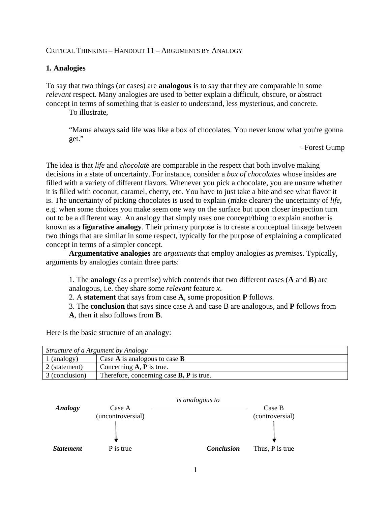### CRITICAL THINKING – HANDOUT 11 – ARGUMENTS BY ANALOGY

### **1. Analogies**

To say that two things (or cases) are **analogous** is to say that they are comparable in some *relevant* respect. Many analogies are used to better explain a difficult, obscure, or abstract concept in terms of something that is easier to understand, less mysterious, and concrete.

To illustrate,

"Mama always said life was like a box of chocolates. You never know what you're gonna get."

–Forest Gump

The idea is that *life* and *chocolate* are comparable in the respect that both involve making decisions in a state of uncertainty. For instance, consider a *box of chocolates* whose insides are filled with a variety of different flavors. Whenever you pick a chocolate, you are unsure whether it is filled with coconut, caramel, cherry, etc. You have to just take a bite and see what flavor it is. The uncertainty of picking chocolates is used to explain (make clearer) the uncertainty of *life*, e.g. when some choices you make seem one way on the surface but upon closer inspection turn out to be a different way. An analogy that simply uses one concept/thing to explain another is known as a **figurative analogy**. Their primary purpose is to create a conceptual linkage between two things that are similar in some respect, typically for the purpose of explaining a complicated concept in terms of a simpler concept.

**Argumentative analogies** are *arguments* that employ analogies as *premises*. Typically, arguments by analogies contain three parts:

1. The **analogy** (as a premise) which contends that two different cases (**A** and **B**) are analogous, i.e. they share some *relevant* feature *x*.

2. A **statement** that says from case **A**, some proposition **P** follows.

3. The **conclusion** that says since case A and case B are analogous, and **P** follows from

**A**, then it also follows from **B**.

Here is the basic structure of an analogy:

*Structure of a Argument by Analogy* 1 (analogy) Case **A** is analogous to case **B**  2 (statement) Concerning **A**, **P** is true. 3 (conclusion) Therefore, concerning case **B, P** is true.

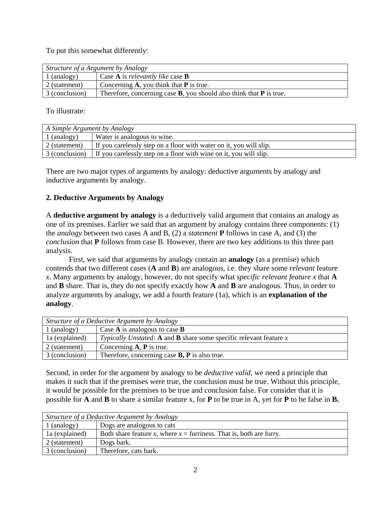To put this somewhat differently:

| Structure of a Argument by Analogy |                                                                          |  |
|------------------------------------|--------------------------------------------------------------------------|--|
| 1 (analogy)                        | Case $A$ is <i>relevantly like</i> case $B$                              |  |
| 2 (statement)                      | Concerning $A$ , you think that $P$ is true.                             |  |
| 3 (conclusion)                     | Therefore, concerning case $B$ , you should also think that $P$ is true. |  |

To illustrate:

| A Simple Argument by Analogy |                                                                                  |
|------------------------------|----------------------------------------------------------------------------------|
| $\vert$ 1 (analogy)          | Water is analogous to wine.                                                      |
| $\vert$ 2 (statement)        | If you carelessly step on a floor with water on it, you will slip.               |
|                              | 3 (conclusion) If you carelessly step on a floor with wine on it, you will slip. |

There are two major types of arguments by analogy: deductive arguments by analogy and inductive arguments by analogy.

## **2. Deductive Arguments by Analogy**

A **deductive argument by analogy** is a deductively valid argument that contains an analogy as one of its premises. Earlier we said that an argument by analogy contains three components: (1) the *analogy* between two cases A and B, (2) a *statement* **P** follows in case A, and (3) the *conclusion* that **P** follows from case B. However, there are two key additions to this three part analysis.

First, we said that arguments by analogy contain an **analogy** (as a premise) which contends that two different cases (**A** and **B**) are analogous, i.e. they share some *relevant* feature *x*. Many arguments by analogy, however, do not specify what *specific relevant feature x* that **A** and **B** share. That is, they do not specify exactly how **A** and **B** are analogous. Thus, in order to analyze arguments by analogy, we add a fourth feature (1a), which is an **explanation of the analogy**.

| Structure of a Deductive Argument by Analogy |                                                                           |
|----------------------------------------------|---------------------------------------------------------------------------|
| $1$ (analogy)                                | Case $A$ is analogous to case $B$                                         |
| la (explained)                               | Typically Unstated: A and <b>B</b> share some specific relevant feature x |
| 2 (statement)                                | Concerning $A$ , $P$ is true.                                             |
| 3 (conclusion)                               | Therefore, concerning case $B$ , $P$ is also true.                        |

Second, in order for the argument by analogy to be *deductive valid*, we need a principle that makes it such that if the premises were true, the conclusion must be true. Without this principle, it would be possible for the premises to be true and conclusion false. For consider that it is possible for **A** and **B** to share a similar feature x, for **P** to be true in A, yet for **P** to be false in **B.** 

| Structure of a Deductive Argument by Analogy |                                                                       |
|----------------------------------------------|-----------------------------------------------------------------------|
| $\vert$ 1 (analogy)                          | Dogs are analogous to cats                                            |
| 1a (explained)                               | Both share feature x, where $x =$ furriness. That is, both are furry. |
| $\vert$ 2 (statement)                        | Dogs bark.                                                            |
| 3 (conclusion)                               | Therefore, cats bark.                                                 |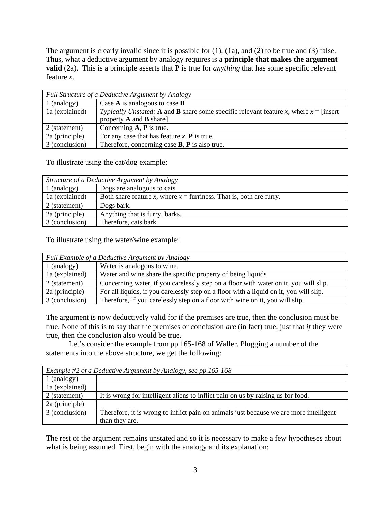The argument is clearly invalid since it is possible for (1), (1a), and (2) to be true and (3) false. Thus, what a deductive argument by analogy requires is a **principle that makes the argument valid** (2a). This is a principle asserts that **P** is true for *anything* that has some specific relevant feature *x*.

| Full Structure of a Deductive Argument by Analogy |                                                                                          |
|---------------------------------------------------|------------------------------------------------------------------------------------------|
| 1 (analogy)                                       | Case $A$ is analogous to case $B$                                                        |
| la (explained)                                    | Typically Unstated: A and B share some specific relevant feature x, where $x =$ [insert] |
|                                                   | property $A$ and $B$ share]                                                              |
| 2 (statement)                                     | Concerning $A$ , $P$ is true.                                                            |
| 2a (principle)                                    | For any case that has feature $x$ , <b>P</b> is true.                                    |
| 3 (conclusion)                                    | Therefore, concerning case $B$ , $P$ is also true.                                       |

To illustrate using the cat/dog example:

| Structure of a Deductive Argument by Analogy |                                                                       |
|----------------------------------------------|-----------------------------------------------------------------------|
| $1$ (analogy)                                | Dogs are analogous to cats                                            |
| la (explained)                               | Both share feature x, where $x =$ furriness. That is, both are furry. |
| 2 (statement)                                | Dogs bark.                                                            |
| 2a (principle)                               | Anything that is furry, barks.                                        |
| 3 (conclusion)                               | Therefore, cats bark.                                                 |

To illustrate using the water/wine example:

| Full Example of a Deductive Argument by Analogy |                                                                                        |
|-------------------------------------------------|----------------------------------------------------------------------------------------|
| $1$ (analogy)                                   | Water is analogous to wine.                                                            |
| la (explained)                                  | Water and wine share the specific property of being liquids                            |
| 2 (statement)                                   | Concerning water, if you carelessly step on a floor with water on it, you will slip.   |
| 2a (principle)                                  | For all liquids, if you carelessly step on a floor with a liquid on it, you will slip. |
| 3 (conclusion)                                  | Therefore, if you carelessly step on a floor with wine on it, you will slip.           |

The argument is now deductively valid for if the premises are true, then the conclusion must be true. None of this is to say that the premises or conclusion *are* (in fact) true, just that *if* they were true, then the conclusion also would be true.

Let's consider the example from pp.165-168 of Waller. Plugging a number of the statements into the above structure, we get the following:

| Example #2 of a Deductive Argument by Analogy, see pp.165-168 |                                                                                        |
|---------------------------------------------------------------|----------------------------------------------------------------------------------------|
| 1 (analogy)                                                   |                                                                                        |
| la (explained)                                                |                                                                                        |
| 2 (statement)                                                 | It is wrong for intelligent aliens to inflict pain on us by raising us for food.       |
| 2a (principle)                                                |                                                                                        |
| 3 (conclusion)                                                | Therefore, it is wrong to inflict pain on animals just because we are more intelligent |
|                                                               | than they are.                                                                         |

The rest of the argument remains unstated and so it is necessary to make a few hypotheses about what is being assumed. First, begin with the analogy and its explanation: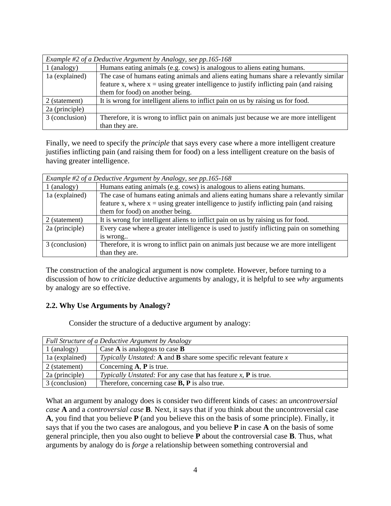| Example #2 of a Deductive Argument by Analogy, see pp.165-168 |                                                                                           |  |
|---------------------------------------------------------------|-------------------------------------------------------------------------------------------|--|
| $1$ (analogy)                                                 | Humans eating animals (e.g. cows) is analogous to aliens eating humans.                   |  |
| 1a (explained)                                                | The case of humans eating animals and aliens eating humans share a relevantly similar     |  |
|                                                               | feature x, where $x =$ using greater intelligence to justify inflicting pain (and raising |  |
|                                                               | them for food) on another being.                                                          |  |
| 2 (statement)                                                 | It is wrong for intelligent aliens to inflict pain on us by raising us for food.          |  |
| 2a (principle)                                                |                                                                                           |  |
| 3 (conclusion)                                                | Therefore, it is wrong to inflict pain on animals just because we are more intelligent    |  |
|                                                               | than they are.                                                                            |  |

Finally, we need to specify the *principle* that says every case where a more intelligent creature justifies inflicting pain (and raising them for food) on a less intelligent creature on the basis of having greater intelligence.

| Example #2 of a Deductive Argument by Analogy, see pp.165-168 |                                                                                           |
|---------------------------------------------------------------|-------------------------------------------------------------------------------------------|
| $1$ (analogy)                                                 | Humans eating animals (e.g. cows) is analogous to aliens eating humans.                   |
| la (explained)                                                | The case of humans eating animals and aliens eating humans share a relevantly similar     |
|                                                               | feature x, where $x =$ using greater intelligence to justify inflicting pain (and raising |
|                                                               | them for food) on another being.                                                          |
| 2 (statement)                                                 | It is wrong for intelligent aliens to inflict pain on us by raising us for food.          |
| 2a (principle)                                                | Every case where a greater intelligence is used to justify inflicting pain on something   |
|                                                               | is wrong                                                                                  |
| 3 (conclusion)                                                | Therefore, it is wrong to inflict pain on animals just because we are more intelligent    |
|                                                               | than they are.                                                                            |

The construction of the analogical argument is now complete. However, before turning to a discussion of how to *criticize* deductive arguments by analogy, it is helpful to see *why* arguments by analogy are so effective.

### **2.2. Why Use Arguments by Analogy?**

Consider the structure of a deductive argument by analogy:

| Full Structure of a Deductive Argument by Analogy |                                                                             |
|---------------------------------------------------|-----------------------------------------------------------------------------|
| $1$ (analogy)                                     | Case $A$ is analogous to case $B$                                           |
| la (explained)                                    | Typically Unstated: A and <b>B</b> share some specific relevant feature $x$ |
| 2 (statement)                                     | Concerning $A$ , $P$ is true.                                               |
| 2a (principle)                                    | Typically Unstated: For any case that has feature $x$ , $P$ is true.        |
| 3 (conclusion)                                    | Therefore, concerning case <b>B</b> , <b>P</b> is also true.                |

What an argument by analogy does is consider two different kinds of cases: an *uncontroversial case* **A** and a *controversial case* **B**. Next, it says that if you think about the uncontroversial case **A**, you find that you believe **P** (and you believe this on the basis of some principle). Finally, it says that if you the two cases are analogous, and you believe **P** in case **A** on the basis of some general principle, then you also ought to believe **P** about the controversial case **B**. Thus, what arguments by analogy do is *forge* a relationship between something controversial and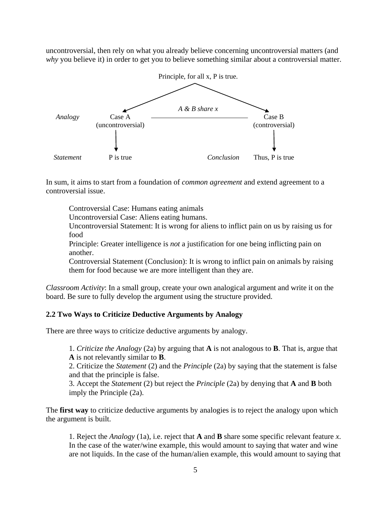uncontroversial, then rely on what you already believe concerning uncontroversial matters (and *why* you believe it) in order to get you to believe something similar about a controversial matter.



In sum, it aims to start from a foundation of *common agreement* and extend agreement to a controversial issue.

Controversial Case: Humans eating animals

Uncontroversial Case: Aliens eating humans.

Uncontroversial Statement: It is wrong for aliens to inflict pain on us by raising us for food

Principle: Greater intelligence is *not* a justification for one being inflicting pain on another.

Controversial Statement (Conclusion): It is wrong to inflict pain on animals by raising them for food because we are more intelligent than they are.

*Classroom Activity*: In a small group, create your own analogical argument and write it on the board. Be sure to fully develop the argument using the structure provided.

#### **2.2 Two Ways to Criticize Deductive Arguments by Analogy**

There are three ways to criticize deductive arguments by analogy.

1. *Criticize the Analogy* (2a) by arguing that **A** is not analogous to **B**. That is, argue that **A** is not relevantly similar to **B**.

2. Criticize the *Statement* (2) and the *Principle* (2a) by saying that the statement is false and that the principle is false.

3. Accept the *Statement* (2) but reject the *Principle* (2a) by denying that **A** and **B** both imply the Principle (2a).

The **first way** to criticize deductive arguments by analogies is to reject the analogy upon which the argument is built.

1. Reject the *Analogy* (1a), i.e. reject that **A** and **B** share some specific relevant feature *x*. In the case of the water/wine example, this would amount to saying that water and wine are not liquids. In the case of the human/alien example, this would amount to saying that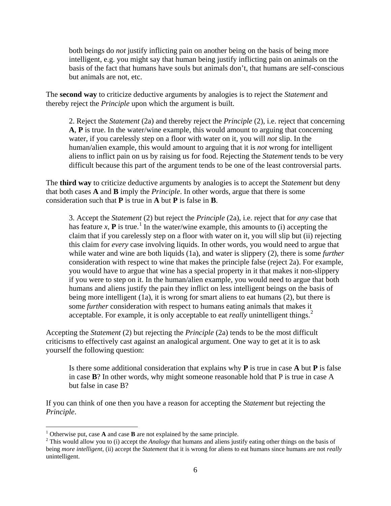both beings do *not* justify inflicting pain on another being on the basis of being more intelligent, e.g. you might say that human being justify inflicting pain on animals on the basis of the fact that humans have souls but animals don't, that humans are self-conscious but animals are not, etc.

The **second way** to criticize deductive arguments by analogies is to reject the *Statement* and thereby reject the *Principle* upon which the argument is built.

2. Reject the *Statement* (2a) and thereby reject the *Principle* (2), i.e. reject that concerning **A**, **P** is true. In the water/wine example, this would amount to arguing that concerning water, if you carelessly step on a floor with water on it, you will *not* slip. In the human/alien example, this would amount to arguing that it is *not* wrong for intelligent aliens to inflict pain on us by raising us for food. Rejecting the *Statement* tends to be very difficult because this part of the argument tends to be one of the least controversial parts.

The **third way** to criticize deductive arguments by analogies is to accept the *Statement* but deny that both cases **A** and **B** imply the *Principle*. In other words, argue that there is some consideration such that **P** is true in **A** but **P** is false in **B**.

3. Accept the *Statement* (2) but reject the *Principle* (2a), i.e. reject that for *any* case that has feature *x*, **P** is true.<sup>[1](#page-5-0)</sup> In the water/wine example, this amounts to (i) accepting the claim that if you carelessly step on a floor with water on it, you will slip but (ii) rejecting this claim for *every* case involving liquids. In other words, you would need to argue that while water and wine are both liquids (1a), and water is slippery (2), there is some *further* consideration with respect to wine that makes the principle false (reject 2a). For example, you would have to argue that wine has a special property in it that makes it non-slippery if you were to step on it. In the human/alien example, you would need to argue that both humans and aliens justify the pain they inflict on less intelligent beings on the basis of being more intelligent (1a), it is wrong for smart aliens to eat humans (2), but there is some *further* consideration with respect to humans eating animals that makes it acceptable. For example, it is only acceptable to eat *really* unintelligent things.<sup>[2](#page-5-1)</sup>

Accepting the *Statement* (2) but rejecting the *Principle* (2a) tends to be the most difficult criticisms to effectively cast against an analogical argument. One way to get at it is to ask yourself the following question:

Is there some additional consideration that explains why **P** is true in case **A** but **P** is false in case **B**? In other words, why might someone reasonable hold that P is true in case A but false in case B?

If you can think of one then you have a reason for accepting the *Statement* but rejecting the *Principle*.

<span id="page-5-1"></span><span id="page-5-0"></span><sup>&</sup>lt;sup>1</sup> Otherwise put, case **A** and case **B** are not explained by the same principle. <sup>2</sup> This would allow you to (i) accept the *Analogy* that humans and aliens justify eating other things on the basis of being *more intelligent*, (ii) accept the *Statement* that it is wrong for aliens to eat humans since humans are not *really*  unintelligent.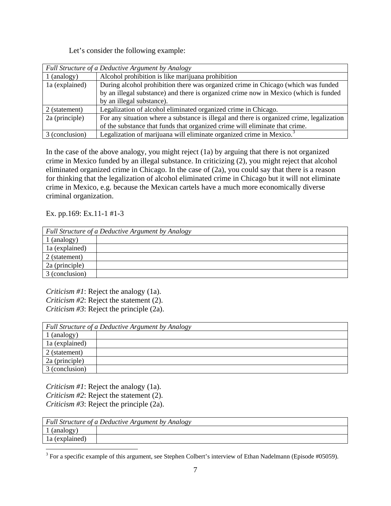Let's consider the following example:

| Full Structure of a Deductive Argument by Analogy |                                                                                           |
|---------------------------------------------------|-------------------------------------------------------------------------------------------|
| $\lceil$ (analogy)                                | Alcohol prohibition is like marijuana prohibition                                         |
| 1a (explained)                                    | During alcohol prohibition there was organized crime in Chicago (which was funded         |
|                                                   | by an illegal substance) and there is organized crime now in Mexico (which is funded      |
|                                                   | by an illegal substance).                                                                 |
| 2 (statement)                                     | Legalization of alcohol eliminated organized crime in Chicago.                            |
| 2a (principle)                                    | For any situation where a substance is illegal and there is organized crime, legalization |
|                                                   | of the substance that funds that organized crime will eliminate that crime.               |
| 3 (conclusion)                                    | Legalization of marijuana will eliminate organized crime in Mexico. <sup>3</sup>          |

In the case of the above analogy, you might reject (1a) by arguing that there is not organized crime in Mexico funded by an illegal substance. In criticizing (2), you might reject that alcohol eliminated organized crime in Chicago. In the case of (2a), you could say that there is a reason for thinking that the legalization of alcohol eliminated crime in Chicago but it will not eliminate crime in Mexico, e.g. because the Mexican cartels have a much more economically diverse criminal organization.

Ex. pp.169: Ex.11-1 #1-3

| Full Structure of a Deductive Argument by Analogy |  |
|---------------------------------------------------|--|
| 1 (analogy)                                       |  |
| 1a (explained)                                    |  |
| $\vert$ 2 (statement)                             |  |
| 2a (principle)                                    |  |
| 3 (conclusion)                                    |  |

*Criticism #1*: Reject the analogy (1a). *Criticism #2*: Reject the statement (2). *Criticism #3*: Reject the principle (2a).

| Full Structure of a Deductive Argument by Analogy |  |
|---------------------------------------------------|--|
| (analogy)                                         |  |
| la (explained)                                    |  |
| 2 (statement)                                     |  |
| 2a (principle)                                    |  |
| 3 (conclusion)                                    |  |

*Criticism #1*: Reject the analogy (1a). *Criticism #2*: Reject the statement (2).

*Criticism #3*: Reject the principle (2a).

| Full Structure of a Deductive Argument by Analogy |  |
|---------------------------------------------------|--|
| U (analogy)                                       |  |
| 1 a (explained)                                   |  |

<span id="page-6-0"></span><sup>&</sup>lt;sup>3</sup> For a specific example of this argument, see Stephen Colbert's interview of Ethan Nadelmann (Episode #05059).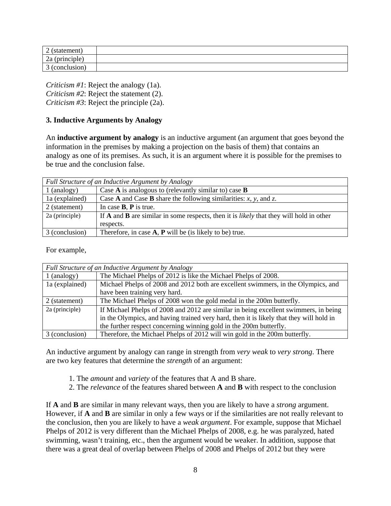| $\sim$<br>statement,<br>∠             |  |
|---------------------------------------|--|
| $\sim$<br>$\sim$<br>(principle)<br>∠a |  |
| $\sim$<br>conclusion)<br>◡            |  |

*Criticism #1*: Reject the analogy (1a). *Criticism #2*: Reject the statement (2). *Criticism #3*: Reject the principle (2a).

## **3. Inductive Arguments by Analogy**

An **inductive argument by analogy** is an inductive argument (an argument that goes beyond the information in the premises by making a projection on the basis of them) that contains an analogy as one of its premises. As such, it is an argument where it is possible for the premises to be true and the conclusion false.

| Full Structure of an Inductive Argument by Analogy |                                                                                                              |
|----------------------------------------------------|--------------------------------------------------------------------------------------------------------------|
| 1 (analogy)                                        | Case $\bf{A}$ is analogous to (relevantly similar to) case $\bf{B}$                                          |
| la (explained)                                     | Case A and Case B share the following similarities: $x$ , $y$ , and $z$ .                                    |
| 2 (statement)                                      | In case $B$ , $P$ is true.                                                                                   |
| 2a (principle)                                     | If <b>A</b> and <b>B</b> are similar in some respects, then it is <i>likely</i> that they will hold in other |
|                                                    | respects.                                                                                                    |
| 3 (conclusion)                                     | Therefore, in case $A$ , $P$ will be (is likely to be) true.                                                 |

For example,

| Full Structure of an Inductive Argument by Analogy |                                                                                         |
|----------------------------------------------------|-----------------------------------------------------------------------------------------|
| $1$ (analogy)                                      | The Michael Phelps of 2012 is like the Michael Phelps of 2008.                          |
| 1a (explained)                                     | Michael Phelps of 2008 and 2012 both are excellent swimmers, in the Olympics, and       |
|                                                    | have been training very hard.                                                           |
| 2 (statement)                                      | The Michael Phelps of 2008 won the gold medal in the 200m butterfly.                    |
| 2a (principle)                                     | If Michael Phelps of 2008 and 2012 are similar in being excellent swimmers, in being    |
|                                                    | in the Olympics, and having trained very hard, then it is likely that they will hold in |
|                                                    | the further respect concerning winning gold in the 200m butterfly.                      |
| 3 (conclusion)                                     | Therefore, the Michael Phelps of 2012 will win gold in the 200m butterfly.              |

An inductive argument by analogy can range in strength from *very weak* to *very strong*. There are two key features that determine the *strength* of an argument:

- 1. The *amount* and *variety* of the features that A and B share.
- 2. The *relevance* of the features shared between **A** and **B** with respect to the conclusion

If **A** and **B** are similar in many relevant ways, then you are likely to have a *strong* argument. However, if **A** and **B** are similar in only a few ways or if the similarities are not really relevant to the conclusion, then you are likely to have a *weak argument*. For example, suppose that Michael Phelps of 2012 is very different than the Michael Phelps of 2008, e.g. he was paralyzed, hated swimming, wasn't training, etc., then the argument would be weaker. In addition, suppose that there was a great deal of overlap between Phelps of 2008 and Phelps of 2012 but they were